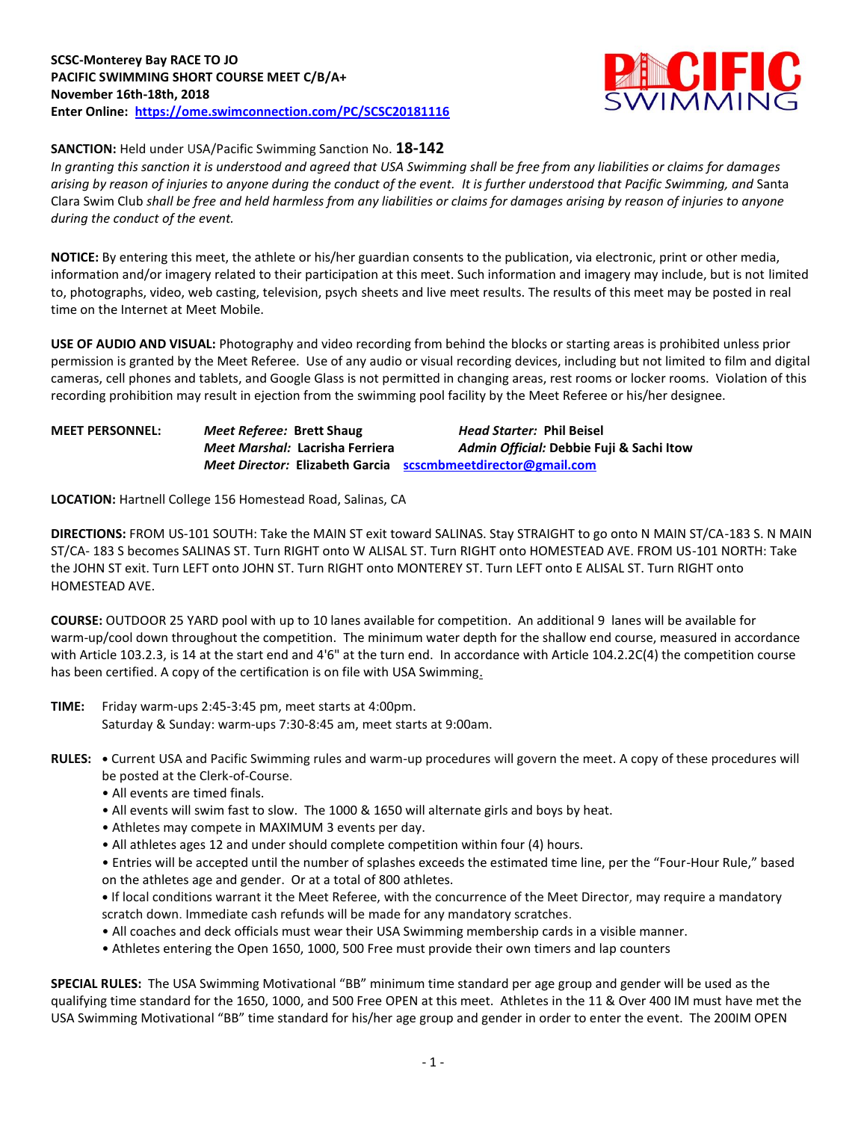## **SCSC-Monterey Bay RACE TO JO PACIFIC SWIMMING SHORT COURSE MEET C/B/A+ November 16th-18th, 2018 Enter Online: <https://ome.swimconnection.com/PC/SCSC20181116>**



# **SANCTION:** Held under USA/Pacific Swimming Sanction No. **18-142**

*In granting this sanction it is understood and agreed that USA Swimming shall be free from any liabilities or claims for damages arising by reason of injuries to anyone during the conduct of the event. It is further understood that Pacific Swimming, and* Santa Clara Swim Club *shall be free and held harmless from any liabilities or claims for damages arising by reason of injuries to anyone during the conduct of the event.*

**NOTICE:** By entering this meet, the athlete or his/her guardian consents to the publication, via electronic, print or other media, information and/or imagery related to their participation at this meet. Such information and imagery may include, but is not limited to, photographs, video, web casting, television, psych sheets and live meet results. The results of this meet may be posted in real time on the Internet at Meet Mobile.

**USE OF AUDIO AND VISUAL:** Photography and video recording from behind the blocks or starting areas is prohibited unless prior permission is granted by the Meet Referee. Use of any audio or visual recording devices, including but not limited to film and digital cameras, cell phones and tablets, and Google Glass is not permitted in changing areas, rest rooms or locker rooms. Violation of this recording prohibition may result in ejection from the swimming pool facility by the Meet Referee or his/her designee.

# **MEET PERSONNEL:** *Meet Referee:* **Brett Shaug** *Head Starter:* **Phil Beisel** *Meet Marshal:* **Lacrisha Ferriera** *Admin Official:* **Debbie Fuji & Sachi Itow** *Meet Director:* **Elizabeth Garcia [scscmbmeetdirector@gmail.com](mailto:scscmbmeetdirector@gmail.com)**

**LOCATION:** Hartnell College 156 Homestead Road, Salinas, CA

**DIRECTIONS:** FROM US-101 SOUTH: Take the MAIN ST exit toward SALINAS. Stay STRAIGHT to go onto N MAIN ST/CA-183 S. N MAIN ST/CA- 183 S becomes SALINAS ST. Turn RIGHT onto W ALISAL ST. Turn RIGHT onto HOMESTEAD AVE. FROM US-101 NORTH: Take the JOHN ST exit. Turn LEFT onto JOHN ST. Turn RIGHT onto MONTEREY ST. Turn LEFT onto E ALISAL ST. Turn RIGHT onto HOMESTEAD AVE.

**COURSE:** OUTDOOR 25 YARD pool with up to 10 lanes available for competition. An additional 9 lanes will be available for warm-up/cool down throughout the competition. The minimum water depth for the shallow end course, measured in accordance with Article 103.2.3, is 14 at the start end and 4'6" at the turn end. In accordance with Article 104.2.2C(4) the competition course has been certified. A copy of the certification is on file with USA Swimming.

- **TIME:** Friday warm-ups 2:45-3:45 pm, meet starts at 4:00pm. Saturday & Sunday: warm-ups 7:30-8:45 am, meet starts at 9:00am.
- **RULES: •** Current USA and Pacific Swimming rules and warm-up procedures will govern the meet. A copy of these procedures will be posted at the Clerk-of-Course.
	- All events are timed finals.
	- All events will swim fast to slow. The 1000 & 1650 will alternate girls and boys by heat.
	- Athletes may compete in MAXIMUM 3 events per day.
	- All athletes ages 12 and under should complete competition within four (4) hours.

• Entries will be accepted until the number of splashes exceeds the estimated time line, per the "Four-Hour Rule," based on the athletes age and gender. Or at a total of 800 athletes.

**•** If local conditions warrant it the Meet Referee, with the concurrence of the Meet Director, may require a mandatory scratch down. Immediate cash refunds will be made for any mandatory scratches.

- All coaches and deck officials must wear their USA Swimming membership cards in a visible manner.
- Athletes entering the Open 1650, 1000, 500 Free must provide their own timers and lap counters

**SPECIAL RULES:** The USA Swimming Motivational "BB" minimum time standard per age group and gender will be used as the qualifying time standard for the 1650, 1000, and 500 Free OPEN at this meet. Athletes in the 11 & Over 400 IM must have met the USA Swimming Motivational "BB" time standard for his/her age group and gender in order to enter the event. The 200IM OPEN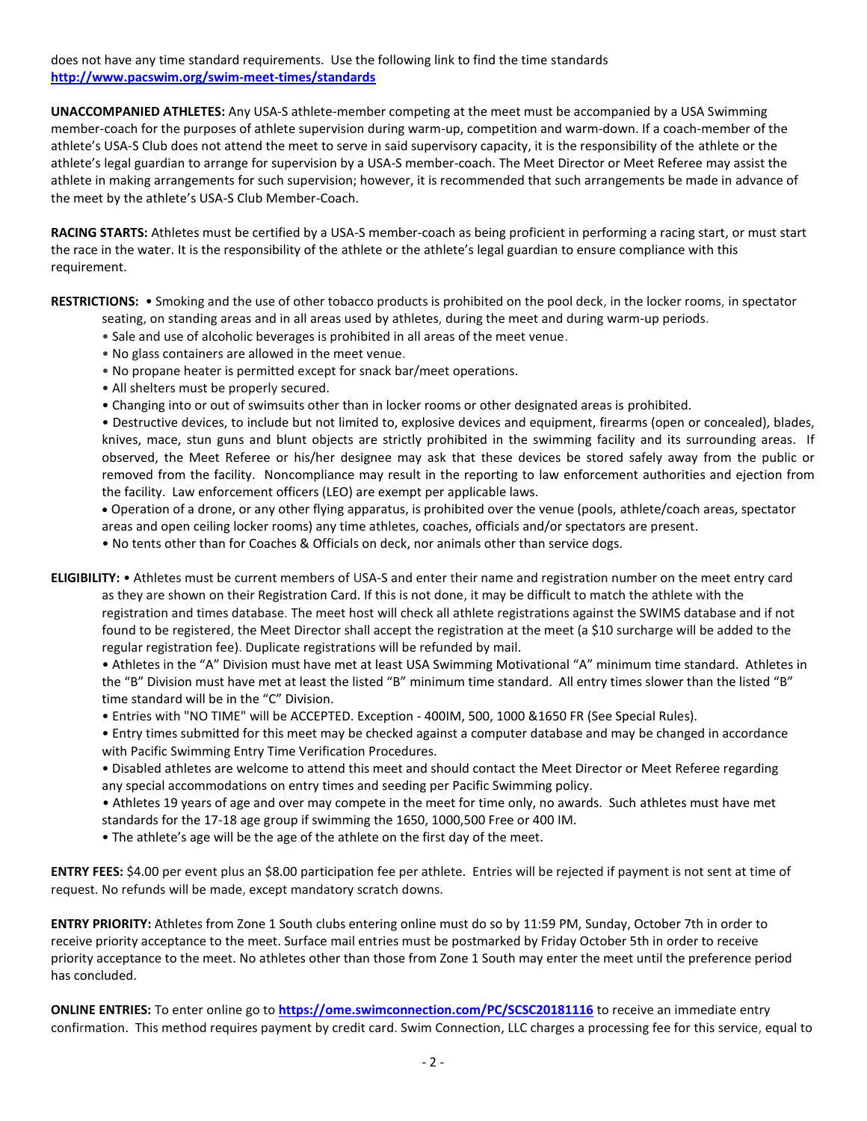does not have any time standard requirements. Use the following link to find the time standards **<http://www.pacswim.org/swim-meet-times/standards>**

**UNACCOMPANIED ATHLETES:** Any USA-S athlete-member competing at the meet must be accompanied by a USA Swimming member-coach for the purposes of athlete supervision during warm-up, competition and warm-down. If a coach-member of the athlete's USA-S Club does not attend the meet to serve in said supervisory capacity, it is the responsibility of the athlete or the athlete's legal guardian to arrange for supervision by a USA-S member-coach. The Meet Director or Meet Referee may assist the athlete in making arrangements for such supervision; however, it is recommended that such arrangements be made in advance of the meet by the athlete's USA-S Club Member-Coach.

**RACING STARTS:** Athletes must be certified by a USA-S member-coach as being proficient in performing a racing start, or must start the race in the water. It is the responsibility of the athlete or the athlete's legal guardian to ensure compliance with this requirement.

**RESTRICTIONS:** • Smoking and the use of other tobacco products is prohibited on the pool deck, in the locker rooms, in spectator

- seating, on standing areas and in all areas used by athletes, during the meet and during warm-up periods.
- Sale and use of alcoholic beverages is prohibited in all areas of the meet venue.
- No glass containers are allowed in the meet venue.
- No propane heater is permitted except for snack bar/meet operations.
- All shelters must be properly secured.
- Changing into or out of swimsuits other than in locker rooms or other designated areas is prohibited.

• Destructive devices, to include but not limited to, explosive devices and equipment, firearms (open or concealed), blades, knives, mace, stun guns and blunt objects are strictly prohibited in the swimming facility and its surrounding areas. If observed, the Meet Referee or his/her designee may ask that these devices be stored safely away from the public or removed from the facility. Noncompliance may result in the reporting to law enforcement authorities and ejection from the facility. Law enforcement officers (LEO) are exempt per applicable laws.

 Operation of a drone, or any other flying apparatus, is prohibited over the venue (pools, athlete/coach areas, spectator areas and open ceiling locker rooms) any time athletes, coaches, officials and/or spectators are present.

• No tents other than for Coaches & Officials on deck, nor animals other than service dogs.

**ELIGIBILITY:** • Athletes must be current members of USA-S and enter their name and registration number on the meet entry card as they are shown on their Registration Card. If this is not done, it may be difficult to match the athlete with the registration and times database. The meet host will check all athlete registrations against the SWIMS database and if not found to be registered, the Meet Director shall accept the registration at the meet (a \$10 surcharge will be added to the regular registration fee). Duplicate registrations will be refunded by mail.

• Athletes in the "A" Division must have met at least USA Swimming Motivational "A" minimum time standard. Athletes in the "B" Division must have met at least the listed "B" minimum time standard. All entry times slower than the listed "B" time standard will be in the "C" Division.

- Entries with "NO TIME" will be ACCEPTED. Exception 400IM, 500, 1000 &1650 FR (See Special Rules).
- Entry times submitted for this meet may be checked against a computer database and may be changed in accordance with Pacific Swimming Entry Time Verification Procedures.
- Disabled athletes are welcome to attend this meet and should contact the Meet Director or Meet Referee regarding any special accommodations on entry times and seeding per Pacific Swimming policy.
- Athletes 19 years of age and over may compete in the meet for time only, no awards. Such athletes must have met standards for the 17-18 age group if swimming the 1650, 1000,500 Free or 400 IM.
- The athlete's age will be the age of the athlete on the first day of the meet.

**ENTRY FEES:** \$4.00 per event plus an \$8.00 participation fee per athlete. Entries will be rejected if payment is not sent at time of request. No refunds will be made, except mandatory scratch downs.

**ENTRY PRIORITY:** Athletes from Zone 1 South clubs entering online must do so by 11:59 PM, Sunday, October 7th in order to receive priority acceptance to the meet. Surface mail entries must be postmarked by Friday October 5th in order to receive priority acceptance to the meet. No athletes other than those from Zone 1 South may enter the meet until the preference period has concluded.

**ONLINE ENTRIES:** To enter online go to **<https://ome.swimconnection.com/PC/SCSC20181116>** to receive an immediate entry confirmation. This method requires payment by credit card. Swim Connection, LLC charges a processing fee for this service, equal to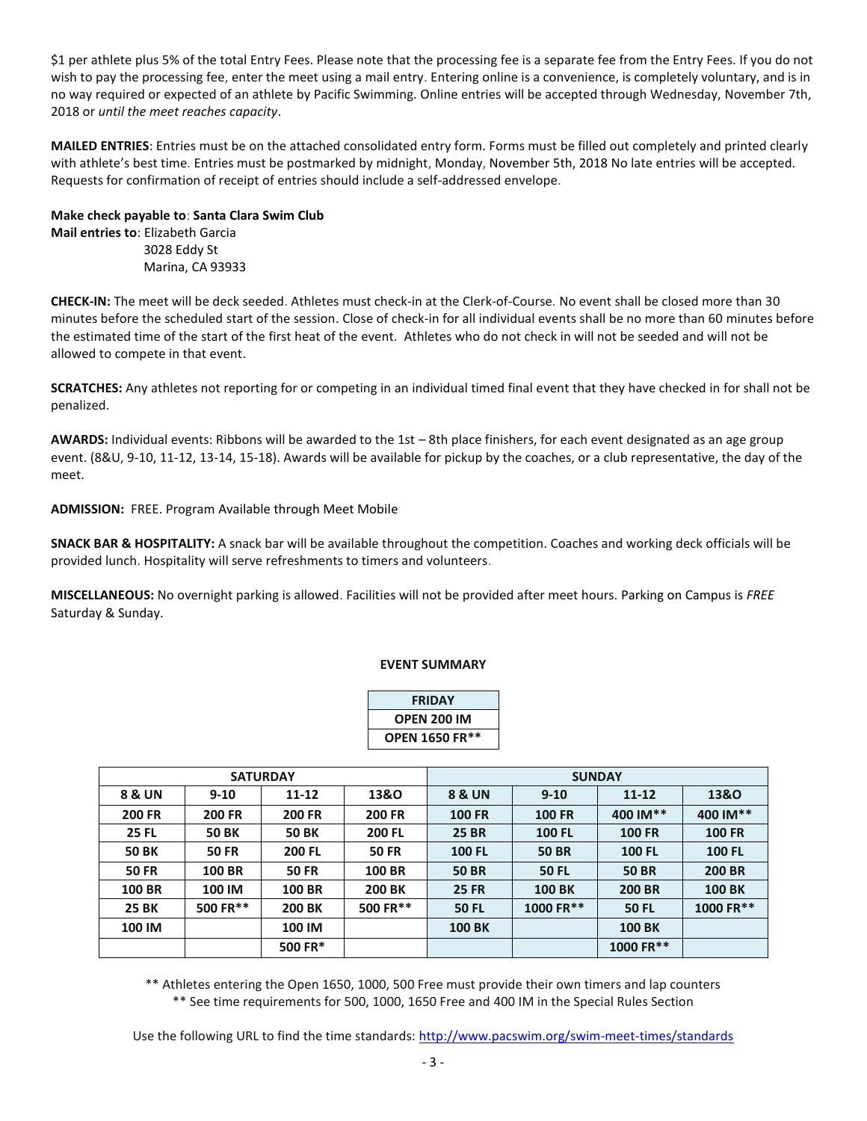\$1 per athlete plus 5% of the total Entry Fees. Please note that the processing fee is a separate fee from the Entry Fees. If you do not wish to pay the processing fee, enter the meet using a mail entry. Entering online is a convenience, is completely voluntary, and is in no way required or expected of an athlete by Pacific Swimming. Online entries will be accepted through Wednesday, November 7th, 2018 or *until the meet reaches capacity*.

**MAILED ENTRIES**: Entries must be on the attached consolidated entry form. Forms must be filled out completely and printed clearly with athlete's best time. Entries must be postmarked by midnight, Monday, November 5th, 2018 No late entries will be accepted. Requests for confirmation of receipt of entries should include a self-addressed envelope.

**Make check payable to**: **Santa Clara Swim Club Mail entries to**: Elizabeth Garcia 3028 Eddy St Marina, CA 93933

**CHECK-IN:** The meet will be deck seeded. Athletes must check-in at the Clerk-of-Course. No event shall be closed more than 30 minutes before the scheduled start of the session. Close of check-in for all individual events shall be no more than 60 minutes before the estimated time of the start of the first heat of the event. Athletes who do not check in will not be seeded and will not be allowed to compete in that event.

**SCRATCHES:** Any athletes not reporting for or competing in an individual timed final event that they have checked in for shall not be penalized.

**AWARDS:** Individual events: Ribbons will be awarded to the 1st – 8th place finishers, for each event designated as an age group event. (8&U, 9-10, 11-12, 13-14, 15-18). Awards will be available for pickup by the coaches, or a club representative, the day of the meet.

### **ADMISSION:** FREE. Program Available through Meet Mobile

**SNACK BAR & HOSPITALITY:** A snack bar will be available throughout the competition. Coaches and working deck officials will be provided lunch. Hospitality will serve refreshments to timers and volunteers.

**MISCELLANEOUS:** No overnight parking is allowed. Facilities will not be provided after meet hours. Parking on Campus is *FREE* Saturday & Sunday.

#### **EVENT SUMMARY**

| <b>FRIDAY</b>  |
|----------------|
| OPEN 200 IM    |
| OPEN 1650 FR** |

|               |               | <b>SATURDAY</b> |               | <b>SUNDAY</b>     |               |               |                 |  |  |
|---------------|---------------|-----------------|---------------|-------------------|---------------|---------------|-----------------|--|--|
| 8 & UN        | $9 - 10$      | 11-12           | 13&0          | <b>8 &amp; UN</b> | $9 - 10$      | $11 - 12$     | <b>13&amp;O</b> |  |  |
| <b>200 FR</b> | <b>200 FR</b> | <b>200 FR</b>   | <b>200 FR</b> | <b>100 FR</b>     | <b>100 FR</b> | 400 IM**      | 400 IM**        |  |  |
| <b>25 FL</b>  | <b>50 BK</b>  | <b>50 BK</b>    | <b>200 FL</b> | <b>25 BR</b>      | <b>100 FL</b> | <b>100 FR</b> | <b>100 FR</b>   |  |  |
| <b>50 BK</b>  | <b>50 FR</b>  | <b>200 FL</b>   | <b>50 FR</b>  | <b>100 FL</b>     | <b>50 BR</b>  | <b>100 FL</b> | <b>100 FL</b>   |  |  |
| <b>50 FR</b>  | <b>100 BR</b> | <b>50 FR</b>    | <b>100 BR</b> | <b>50 BR</b>      | <b>50 FL</b>  | <b>50 BR</b>  | <b>200 BR</b>   |  |  |
| <b>100 BR</b> | 100 IM        | <b>100 BR</b>   | <b>200 BK</b> | <b>25 FR</b>      | <b>100 BK</b> | <b>200 BR</b> | <b>100 BK</b>   |  |  |
| <b>25 BK</b>  | 500 FR**      | <b>200 BK</b>   | 500 FR**      | <b>50 FL</b>      | 1000 FR**     | <b>50 FL</b>  | 1000 FR**       |  |  |
| 100 IM        |               | 100 IM          |               | <b>100 BK</b>     |               | <b>100 BK</b> |                 |  |  |
|               |               | 500 FR*         |               |                   |               | 1000 FR**     |                 |  |  |

\*\* Athletes entering the Open 1650, 1000, 500 Free must provide their own timers and lap counters \*\* See time requirements for 500, 1000, 1650 Free and 400 IM in the Special Rules Section

Use the following URL to find the time standards:<http://www.pacswim.org/swim-meet-times/standards>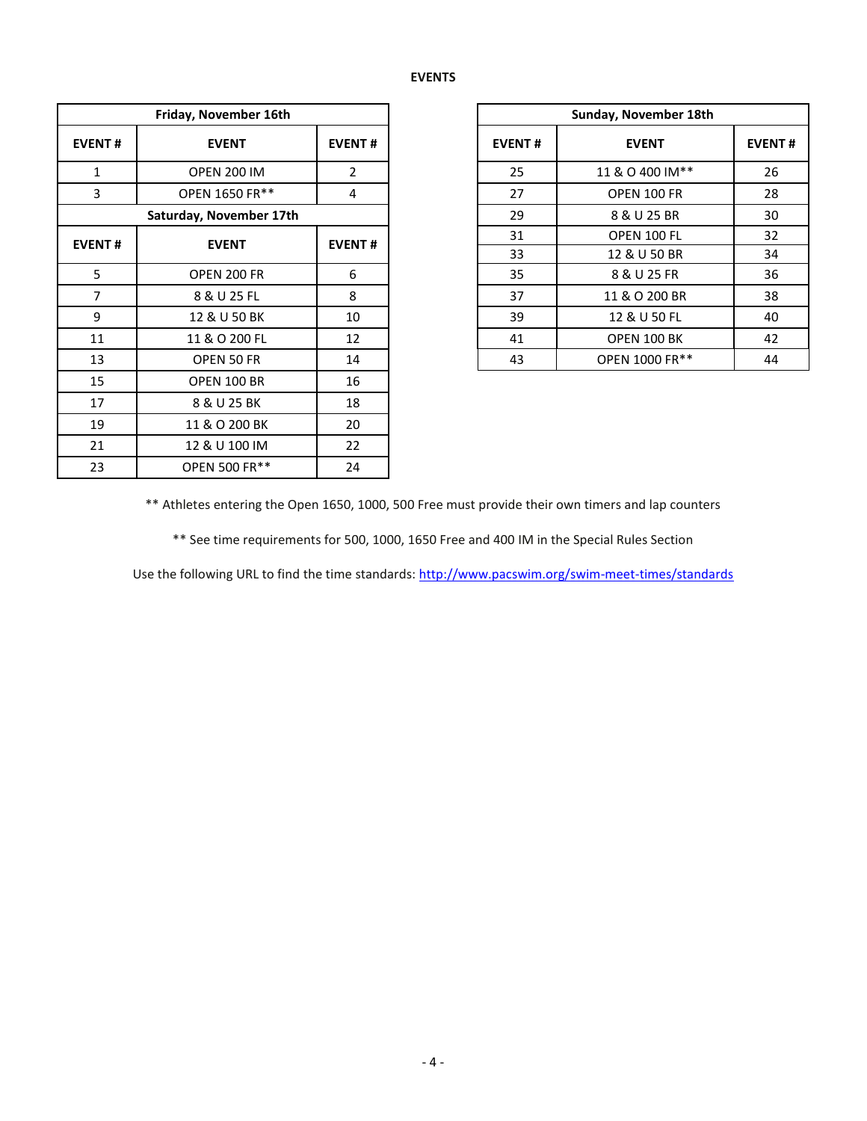### **EVENTS**

| Friday, November 16th   |                      |               |  |  |  |  |  |  |  |
|-------------------------|----------------------|---------------|--|--|--|--|--|--|--|
| <b>EVENT#</b>           | <b>EVENT</b>         | <b>EVENT#</b> |  |  |  |  |  |  |  |
| $\mathbf{1}$            | <b>OPEN 200 IM</b>   | 2             |  |  |  |  |  |  |  |
| 3                       | OPEN 1650 FR**       | 4             |  |  |  |  |  |  |  |
| Saturday, November 17th |                      |               |  |  |  |  |  |  |  |
| <b>EVENT#</b>           | <b>EVENT</b>         | <b>EVENT#</b> |  |  |  |  |  |  |  |
| 5                       | OPEN 200 FR          | 6             |  |  |  |  |  |  |  |
| 7                       | 8 & U 25 FL          | 8             |  |  |  |  |  |  |  |
| 9                       | 12 & U 50 BK         | 10            |  |  |  |  |  |  |  |
| 11                      | 11 & O 200 FL        | 12            |  |  |  |  |  |  |  |
| 13                      | OPEN 50 FR           | 14            |  |  |  |  |  |  |  |
| 15                      | <b>OPEN 100 BR</b>   | 16            |  |  |  |  |  |  |  |
| 17                      | 8 & U 25 BK          | 18            |  |  |  |  |  |  |  |
| 19                      | 11 & O 200 BK        | 20            |  |  |  |  |  |  |  |
| 21                      | 12 & U 100 IM        | 22            |  |  |  |  |  |  |  |
| 23                      | <b>OPEN 500 FR**</b> | 24            |  |  |  |  |  |  |  |

| Friday, November 16th |                         |               |  |  |
|-----------------------|-------------------------|---------------|--|--|
| <b>EVENT#</b>         | <b>EVENT</b>            | <b>EVENT#</b> |  |  |
| 1                     | <b>OPEN 200 IM</b>      | 2             |  |  |
| 3                     | OPEN 1650 FR**          | 4             |  |  |
|                       | Saturday, November 17th |               |  |  |
| <b>EVENT#</b>         | <b>EVENT</b>            | <b>EVENT#</b> |  |  |
|                       |                         |               |  |  |
| 5                     | <b>OPEN 200 FR</b>      | 6             |  |  |
| 7                     | 8 & U 25 FL             | 8             |  |  |
| 9                     | 12 & U 50 BK            | 10            |  |  |
| 11                    | 11 & O 200 FL           | 12            |  |  |
| 13                    | OPEN 50 FR              | 14            |  |  |

\*\* Athletes entering the Open 1650, 1000, 500 Free must provide their own timers and lap counters

\*\* See time requirements for 500, 1000, 1650 Free and 400 IM in the Special Rules Section

Use the following URL to find the time standards:<http://www.pacswim.org/swim-meet-times/standards>